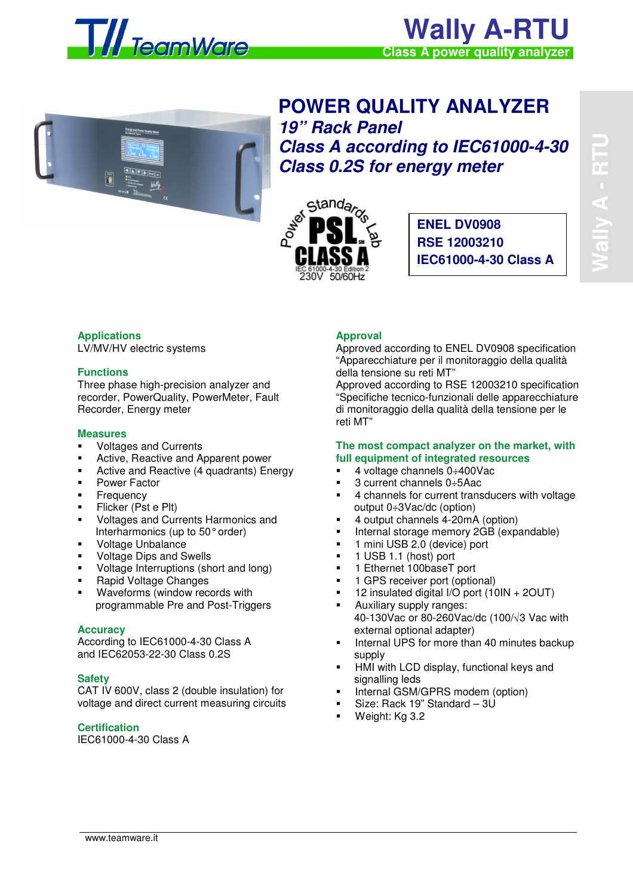

# **Wally A-RTU Class A power quality analyzer**



**POWER QUALITY ANALYZER 19" Rack Panel Class A according to IEC61000-4-30 Class 0.2S for energy meter** 



**ENEL DV0908 RSE 12003210 IEC61000-4-30 Class A**

# **Applications**

LV/MV/HV electric systems

#### **Functions**

Three phase high-precision analyzer and recorder, PowerQuality, PowerMeter, Fault Recorder, Energy meter

#### **Measures**

- Voltages and Currents
- Active, Reactive and Apparent power
- Active and Reactive (4 quadrants) Energy
- Power Factor
- Frequency
- Flicker (Pst e Plt)
- Voltages and Currents Harmonics and Interharmonics (up to 50° order)
- Voltage Unbalance
- Voltage Dips and Swells
- Voltage Interruptions (short and long)
- **Rapid Voltage Changes**
- Waveforms (window records with programmable Pre and Post-Triggers

## **Accuracy**

According to IEC61000-4-30 Class A and IEC62053-22-30 Class 0.2S

## **Safety**

CAT IV 600V, class 2 (double insulation) for voltage and direct current measuring circuits

# **Certification**

IEC61000-4-30 Class A

# **Approval**

Approved according to ENEL DV0908 specification "Apparecchiature per il monitoraggio della qualità della tensione su reti MT"

Approved according to RSE 12003210 specification "Specifiche tecnico-funzionali delle apparecchiature di monitoraggio della qualità della tensione per le reti MT"

#### **The most compact analyzer on the market, with full equipment of integrated resources**

- 4 voltage channels 0÷400Vac
- 3 current channels 0÷5Aac
- 4 channels for current transducers with voltage output 0÷3Vac/dc (option)
- 4 output channels 4-20mA (option)
- Internal storage memory 2GB (expandable)
- 1 mini USB 2.0 (device) port
- 1 USB 1.1 (host) port
- 1 Ethernet 100baseT port
- **1 GPS receiver port (optional)**
- 12 insulated digital I/O port (10IN + 2OUT)
- **Auxiliary supply ranges:** 40-130Vac or 80-260Vac/dc (100/√3 Vac with external optional adapter)
- Internal UPS for more than 40 minutes backup supply
- HMI with LCD display, functional keys and signalling leds
- Internal GSM/GPRS modem (option)
- Size: Rack 19" Standard 3U
- Weight: Kg 3.2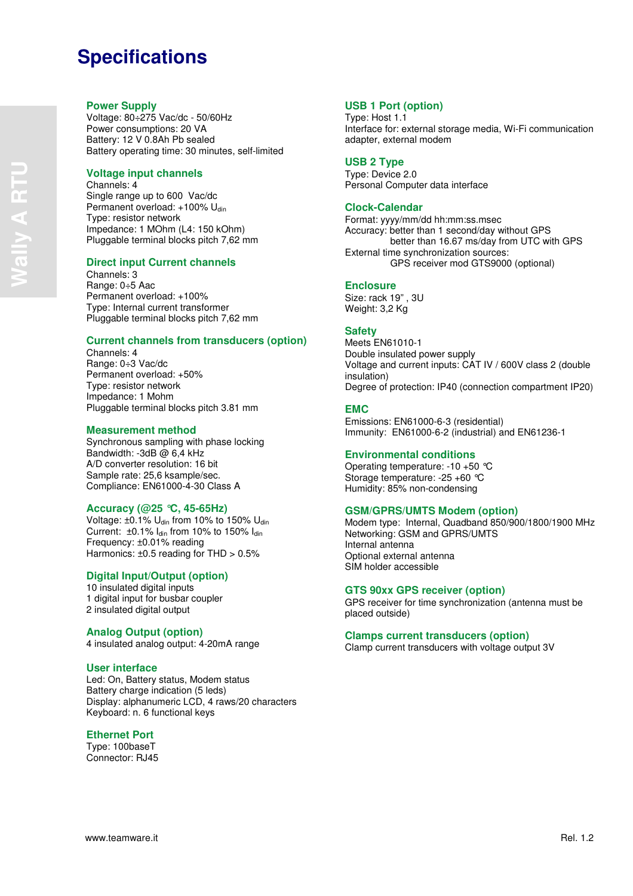# **Specifications**

## **Power Supply**

Voltage: 80÷275 Vac/dc - 50/60Hz Power consumptions: 20 VA Battery: 12 V 0.8Ah Pb sealed Battery operating time: 30 minutes, self-limited

## **Voltage input channels**

Channels: 4 Single range up to 600 Vac/dc Permanent overload: +100% Udin Type: resistor network Impedance: 1 MOhm (L4: 150 kOhm) Pluggable terminal blocks pitch 7,62 mm

## **Direct input Current channels**

Channels: 3 Range: 0÷5 Aac Permanent overload: +100% Type: Internal current transformer Pluggable terminal blocks pitch 7,62 mm

## **Current channels from transducers (option)**

Channels: 4 Range: 0÷3 Vac/dc Permanent overload: +50% Type: resistor network Impedance: 1 Mohm Pluggable terminal blocks pitch 3.81 mm

#### **Measurement method**

Synchronous sampling with phase locking Bandwidth: -3dB  $\dot{\omega}$  6,4 kHz A/D converter resolution: 16 bit Sample rate: 25,6 ksample/sec. Compliance: EN61000-4-30 Class A

## **Accuracy (@25 °C, 45-65Hz)**

Voltage:  $\pm 0.1\%$  U<sub>din</sub> from 10% to 150% U<sub>din</sub> Current: ±0.1% Idin from 10% to 150% Idin Frequency: ±0.01% reading Harmonics: ±0.5 reading for THD > 0.5%

## **Digital Input/Output (option)**

10 insulated digital inputs 1 digital input for busbar coupler 2 insulated digital output

#### **Analog Output (option)**

4 insulated analog output: 4-20mA range

#### **User interface**

Led: On, Battery status, Modem status Battery charge indication (5 leds) Display: alphanumeric LCD, 4 raws/20 characters Keyboard: n. 6 functional keys

## **Ethernet Port**

Type: 100baseT Connector: RJ45

## **USB 1 Port (option)**

Type: Host 1.1 Interface for: external storage media, Wi-Fi communication adapter, external modem

#### **USB 2 Type**

Type: Device 2.0 Personal Computer data interface

# **Clock-Calendar**

Format: yyyy/mm/dd hh:mm:ss.msec Accuracy: better than 1 second/day without GPS better than 16.67 ms/day from UTC with GPS External time synchronization sources: GPS receiver mod GTS9000 (optional)

#### **Enclosure**

Size: rack 19" , 3U Weight: 3,2 Kg

# **Safety**

Meets EN61010-1 Double insulated power supply Voltage and current inputs: CAT IV / 600V class 2 (double insulation) Degree of protection: IP40 (connection compartment IP20)

## **EMC**

Emissions: EN61000-6-3 (residential) Immunity: EN61000-6-2 (industrial) and EN61236-1

## **Environmental conditions**

Operating temperature: -10 +50 °C Storage temperature: -25 +60 °C Humidity: 85% non-condensing

## **GSM/GPRS/UMTS Modem (option)**

Modem type: Internal, Quadband 850/900/1800/1900 MHz Networking: GSM and GPRS/UMTS Internal antenna Optional external antenna SIM holder accessible

#### **GTS 90xx GPS receiver (option)**

GPS receiver for time synchronization (antenna must be placed outside)

#### **Clamps current transducers (option)**

Clamp current transducers with voltage output 3V